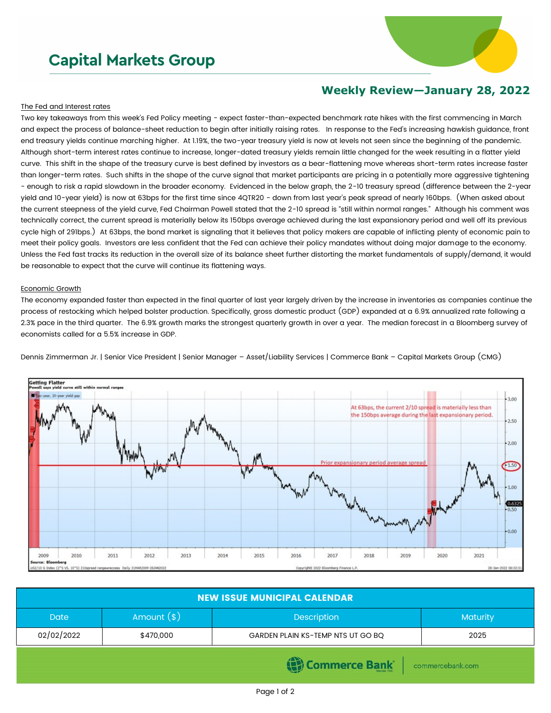# **Capital Markets Group**



## **Weekly Review—January 28, 2022**

### The Fed and Interest rates

Two key takeaways from this week's Fed Policy meeting - expect faster-than-expected benchmark rate hikes with the first commencing in March and expect the process of balance-sheet reduction to begin after initially raising rates. In response to the Fed's increasing hawkish guidance, front end treasury yields continue marching higher. At 1.19%, the two-year treasury yield is now at levels not seen since the beginning of the pandemic. Although short-term interest rates continue to increase, longer-dated treasury yields remain little changed for the week resulting in a flatter yield curve. This shift in the shape of the treasury curve is best defined by investors as a bear-flattening move whereas short-term rates increase faster than longer-term rates. Such shifts in the shape of the curve signal that market participants are pricing in a potentially more aggressive tightening - enough to risk a rapid slowdown in the broader economy. Evidenced in the below graph, the 2-10 treasury spread (difference between the 2-year yield and 10-year yield) is now at 63bps for the first time since 4QTR20 - down from last year's peak spread of nearly 160bps. (When asked about the current steepness of the yield curve, Fed Chairman Powell stated that the 2-10 spread is "still within normal ranges." Although his comment was technically correct, the current spread is materially below its 150bps average achieved during the last expansionary period and well off its previous cycle high of 291bps.) At 63bps, the bond market is signaling that it believes that policy makers are capable of inflicting plenty of economic pain to meet their policy goals. Investors are less confident that the Fed can achieve their policy mandates without doing major damage to the economy. Unless the Fed fast tracks its reduction in the overall size of its balance sheet further distorting the market fundamentals of supply/demand, it would be reasonable to expect that the curve will continue its flattening ways.

#### Economic Growth

The economy expanded faster than expected in the final quarter of last year largely driven by the increase in inventories as companies continue the process of restocking which helped bolster production. Specifically, gross domestic product (GDP) expanded at a 6.9% annualized rate following a 2.3% pace in the third quarter. The 6.9% growth marks the strongest quarterly growth in over a year. The median forecast in a Bloomberg survey of economists called for a 5.5% increase in GDP.





| <b>NEW ISSUE MUNICIPAL CALENDAR</b> |              |                                   |          |  |  |
|-------------------------------------|--------------|-----------------------------------|----------|--|--|
| <b>Date</b>                         | Amount $(*)$ | <b>Description</b>                | Maturity |  |  |
| 02/02/2022                          | \$470,000    | GARDEN PLAIN KS-TEMP NTS UT GO BQ | 2025     |  |  |
| mmerce Bank<br>commercebank.com     |              |                                   |          |  |  |